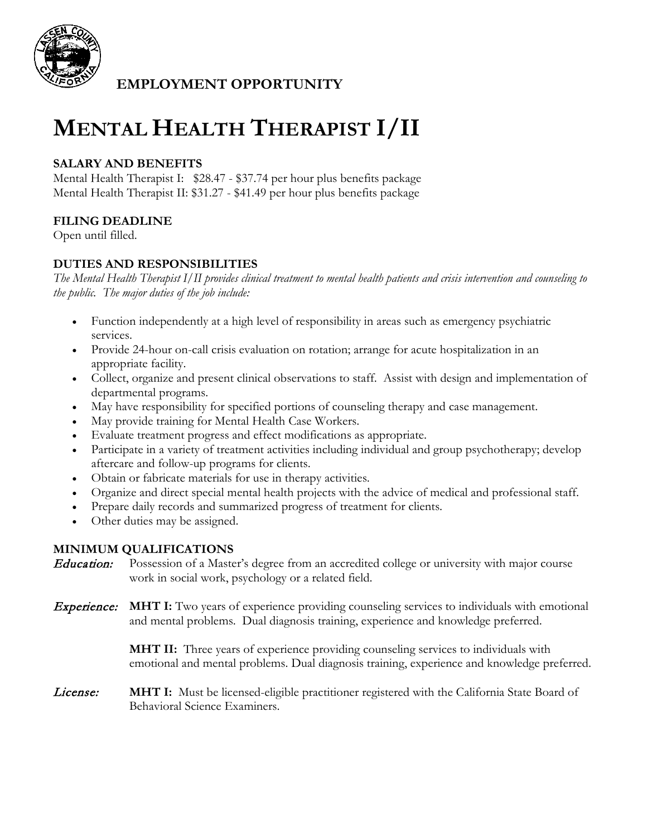

**EMPLOYMENT OPPORTUNITY**

# **MENTAL HEALTH THERAPIST I/II**

### **SALARY AND BENEFITS**

Mental Health Therapist I: \$28.47 - \$37.74 per hour plus benefits package Mental Health Therapist II: \$31.27 - \$41.49 per hour plus benefits package

## **FILING DEADLINE**

Open until filled.

#### **DUTIES AND RESPONSIBILITIES**

*The Mental Health Therapist I/II provides clinical treatment to mental health patients and crisis intervention and counseling to the public. The major duties of the job include:*

- Function independently at a high level of responsibility in areas such as emergency psychiatric services.
- Provide 24-hour on-call crisis evaluation on rotation; arrange for acute hospitalization in an appropriate facility.
- Collect, organize and present clinical observations to staff. Assist with design and implementation of departmental programs.
- May have responsibility for specified portions of counseling therapy and case management.
- May provide training for Mental Health Case Workers.
- Evaluate treatment progress and effect modifications as appropriate.
- Participate in a variety of treatment activities including individual and group psychotherapy; develop aftercare and follow-up programs for clients.
- Obtain or fabricate materials for use in therapy activities.
- Organize and direct special mental health projects with the advice of medical and professional staff.
- Prepare daily records and summarized progress of treatment for clients.
- Other duties may be assigned.

#### **MINIMUM QUALIFICATIONS**

**Education:** Possession of a Master's degree from an accredited college or university with major course work in social work, psychology or a related field.

Experience: **MHT I:** Two years of experience providing counseling services to individuals with emotional and mental problems. Dual diagnosis training, experience and knowledge preferred.

> **MHT II:** Three years of experience providing counseling services to individuals with emotional and mental problems. Dual diagnosis training, experience and knowledge preferred.

License: **MHT I:** Must be licensed-eligible practitioner registered with the California State Board of Behavioral Science Examiners.